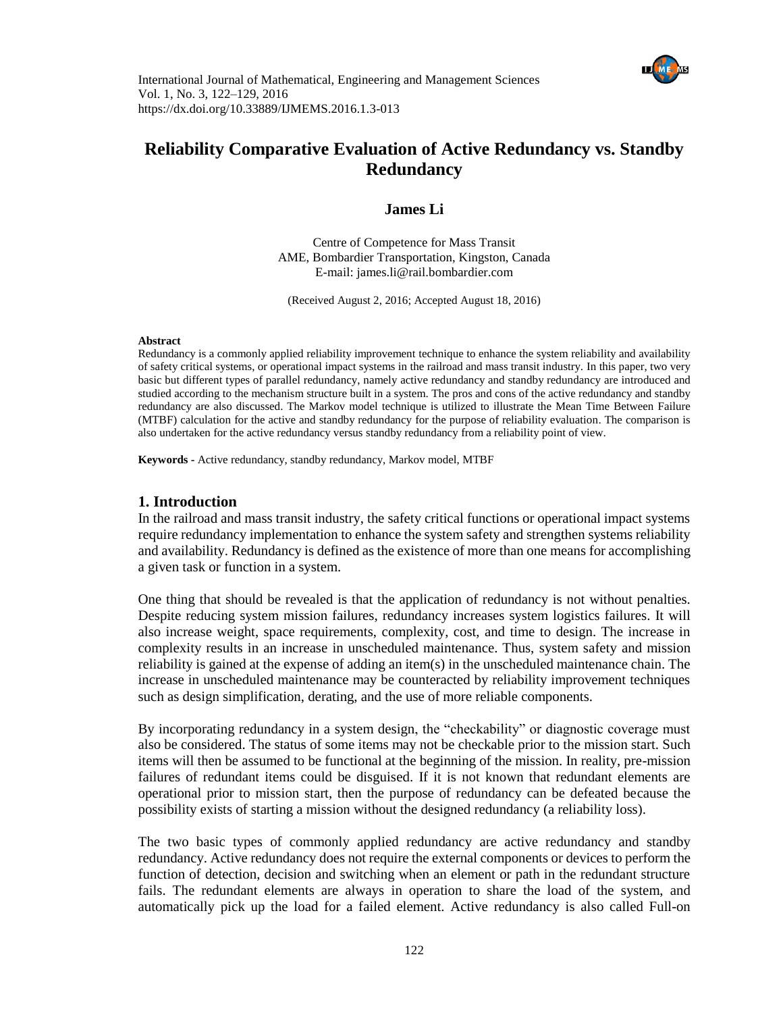



# **Reliability Comparative Evaluation of Active Redundancy vs. Standby Redundancy**

**James Li**

Centre of Competence for Mass Transit AME, Bombardier Transportation, Kingston, Canada E-mail: [james.li@rail.bombardier.com](mailto:james.li@rail.bombardier.com)

(Received August 2, 2016; Accepted August 18, 2016)

#### **Abstract**

Redundancy is a commonly applied reliability improvement technique to enhance the system reliability and availability of safety critical systems, or operational impact systems in the railroad and mass transit industry. In this paper, two very basic but different types of parallel redundancy, namely active redundancy and standby redundancy are introduced and studied according to the mechanism structure built in a system. The pros and cons of the active redundancy and standby redundancy are also discussed. The Markov model technique is utilized to illustrate the Mean Time Between Failure (MTBF) calculation for the active and standby redundancy for the purpose of reliability evaluation. The comparison is also undertaken for the active redundancy versus standby redundancy from a reliability point of view.

**Keywords -** Active redundancy, standby redundancy, Markov model, MTBF

#### **1. Introduction**

In the railroad and mass transit industry, the safety critical functions or operational impact systems require redundancy implementation to enhance the system safety and strengthen systems reliability and availability. Redundancy is defined as the existence of more than one means for accomplishing a given task or function in a system.

One thing that should be revealed is that the application of redundancy is not without penalties. Despite reducing system mission failures, redundancy increases system logistics failures. It will also increase weight, space requirements, complexity, cost, and time to design. The increase in complexity results in an increase in unscheduled maintenance. Thus, system safety and mission reliability is gained at the expense of adding an item(s) in the unscheduled maintenance chain. The increase in unscheduled maintenance may be counteracted by reliability improvement techniques such as design simplification, derating, and the use of more reliable components.

By incorporating redundancy in a system design, the "checkability" or diagnostic coverage must also be considered. The status of some items may not be checkable prior to the mission start. Such items will then be assumed to be functional at the beginning of the mission. In reality, pre-mission failures of redundant items could be disguised. If it is not known that redundant elements are operational prior to mission start, then the purpose of redundancy can be defeated because the possibility exists of starting a mission without the designed redundancy (a reliability loss).

The two basic types of commonly applied redundancy are active redundancy and standby redundancy. Active redundancy does not require the external components or devices to perform the function of detection, decision and switching when an element or path in the redundant structure fails. The redundant elements are always in operation to share the load of the system, and automatically pick up the load for a failed element. Active redundancy is also called Full-on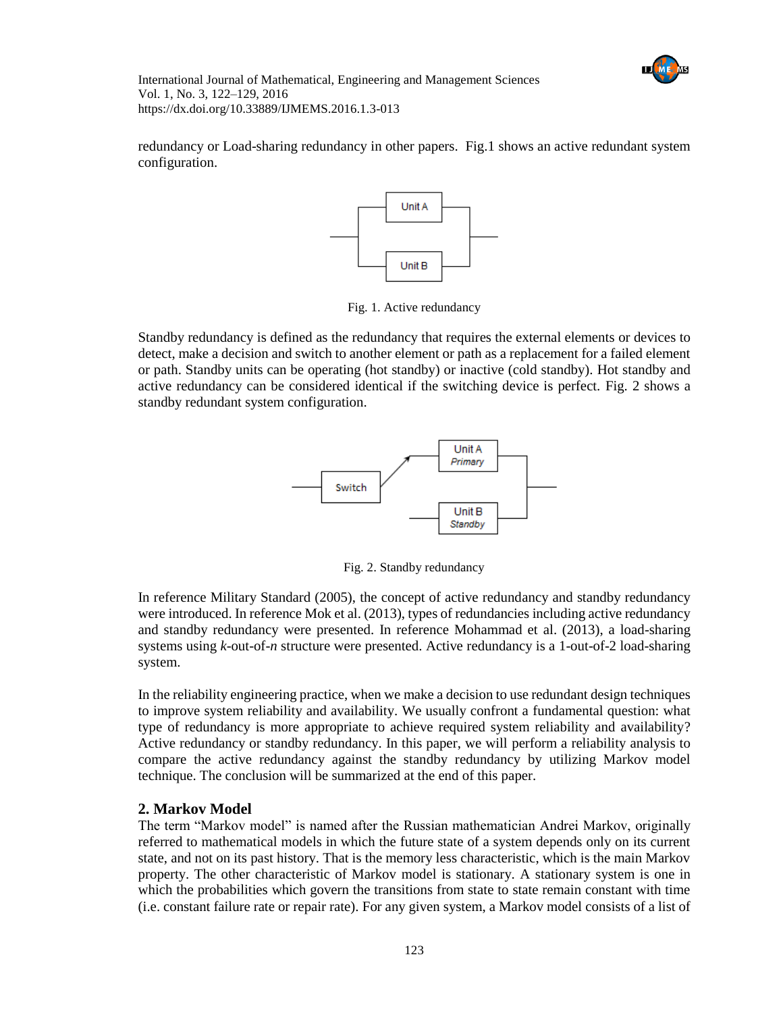

redundancy or Load-sharing redundancy in other papers. Fig.1 shows an active redundant system configuration.



Fig. 1. Active redundancy

Standby redundancy is defined as the redundancy that requires the external elements or devices to detect, make a decision and switch to another element or path as a replacement for a failed element or path. Standby units can be operating (hot standby) or inactive (cold standby). Hot standby and active redundancy can be considered identical if the switching device is perfect. Fig. 2 shows a standby redundant system configuration.



Fig. 2. Standby redundancy

In reference Military Standard (2005), the concept of active redundancy and standby redundancy were introduced. In reference Mok et al. (2013), types of redundancies including active redundancy and standby redundancy were presented. In reference Mohammad et al. (2013), a load-sharing systems using *k*-out-of-*n* structure were presented. Active redundancy is a 1-out-of-2 load-sharing system.

In the reliability engineering practice, when we make a decision to use redundant design techniques to improve system reliability and availability. We usually confront a fundamental question: what type of redundancy is more appropriate to achieve required system reliability and availability? Active redundancy or standby redundancy. In this paper, we will perform a reliability analysis to compare the active redundancy against the standby redundancy by utilizing Markov model technique. The conclusion will be summarized at the end of this paper.

## **2. Markov Model**

The term "Markov model" is named after the Russian mathematician Andrei Markov, originally referred to mathematical models in which the future state of a system depends only on its current state, and not on its past history. That is the memory less characteristic, which is the main Markov property. The other characteristic of Markov model is stationary. A stationary system is one in which the probabilities which govern the transitions from state to state remain constant with time (i.e. constant failure rate or repair rate). For any given system, a Markov model consists of a list of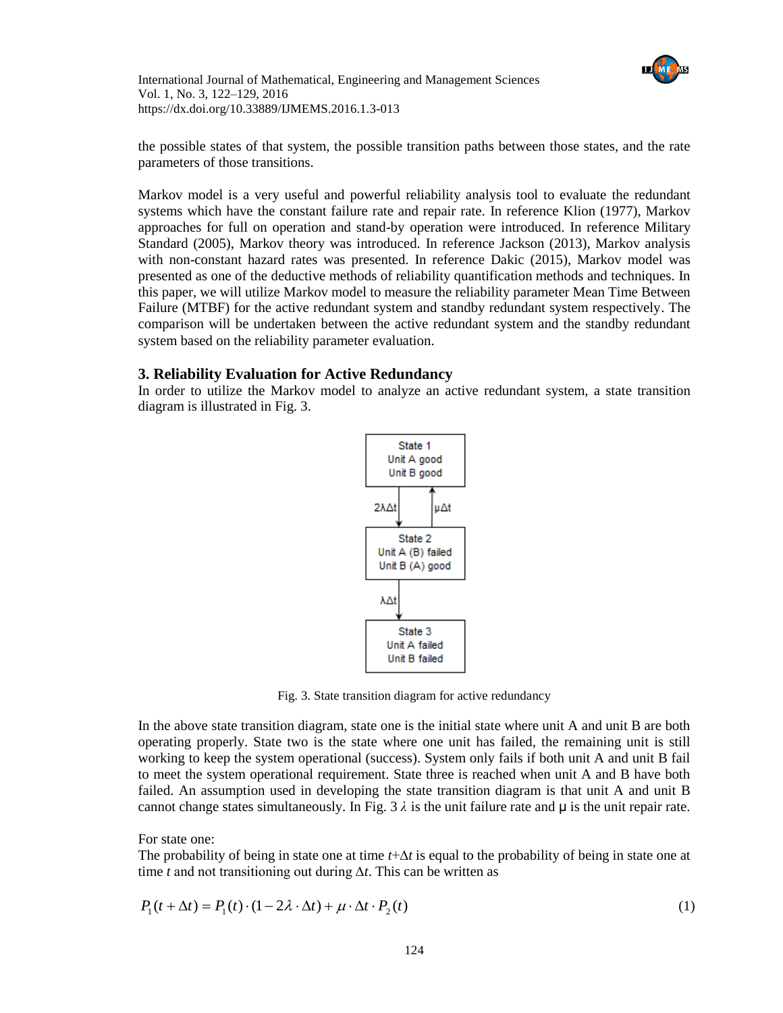

the possible states of that system, the possible transition paths between those states, and the rate parameters of those transitions.

Markov model is a very useful and powerful reliability analysis tool to evaluate the redundant systems which have the constant failure rate and repair rate. In reference Klion (1977), Markov approaches for full on operation and stand-by operation were introduced. In reference Military Standard (2005), Markov theory was introduced. In reference Jackson (2013), Markov analysis with non-constant hazard rates was presented. In reference Dakic (2015), Markov model was presented as one of the deductive methods of reliability quantification methods and techniques. In this paper, we will utilize Markov model to measure the reliability parameter Mean Time Between Failure (MTBF) for the active redundant system and standby redundant system respectively. The comparison will be undertaken between the active redundant system and the standby redundant system based on the reliability parameter evaluation.

### **3. Reliability Evaluation for Active Redundancy**

In order to utilize the Markov model to analyze an active redundant system, a state transition diagram is illustrated in Fig. 3.



Fig. 3. State transition diagram for active redundancy

In the above state transition diagram, state one is the initial state where unit A and unit B are both operating properly. State two is the state where one unit has failed, the remaining unit is still working to keep the system operational (success). System only fails if both unit A and unit B fail to meet the system operational requirement. State three is reached when unit A and B have both failed. An assumption used in developing the state transition diagram is that unit A and unit B cannot change states simultaneously. In Fig.  $3 \lambda$  is the unit failure rate and  $\mu$  is the unit repair rate.

For state one:

The probability of being in state one at time *t*+∆*t* is equal to the probability of being in state one at time *t* and not transitioning out during ∆*t*. This can be written as

$$
P_1(t + \Delta t) = P_1(t) \cdot (1 - 2\lambda \cdot \Delta t) + \mu \cdot \Delta t \cdot P_2(t)
$$
\n<sup>(1)</sup>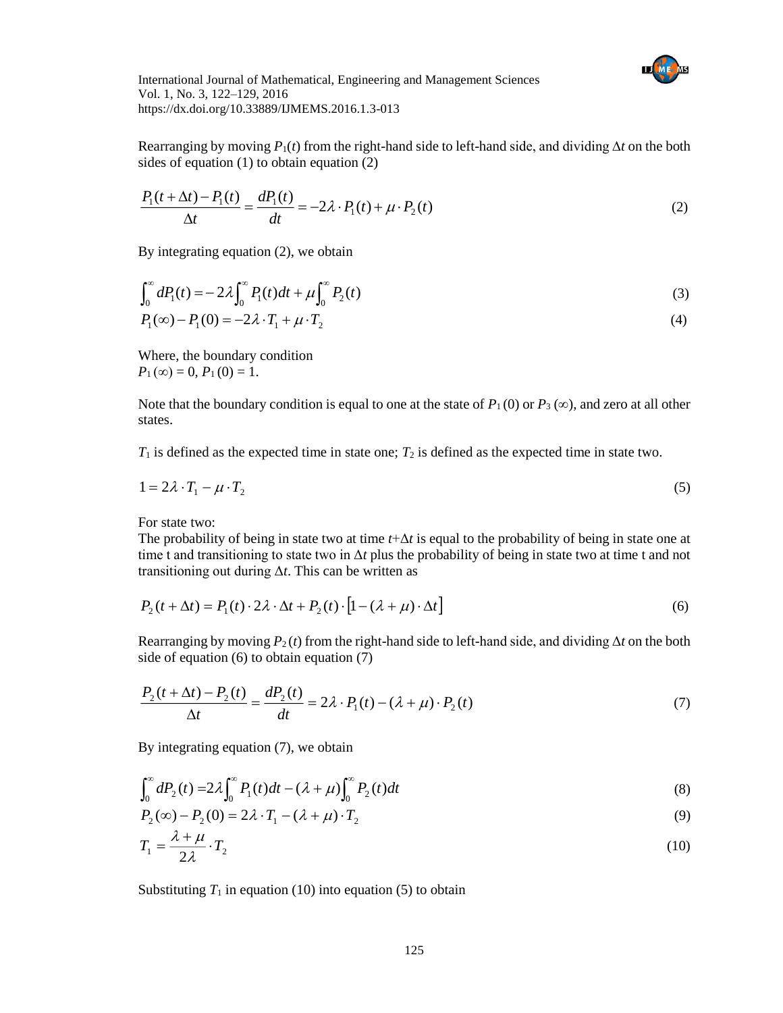

Rearranging by moving *P*1(*t*) from the right-hand side to left-hand side, and dividing ∆*t* on the both sides of equation (1) to obtain equation (2)

$$
\frac{P_1(t + \Delta t) - P_1(t)}{\Delta t} = \frac{dP_1(t)}{dt} = -2\lambda \cdot P_1(t) + \mu \cdot P_2(t)
$$
\n(2)

By integrating equation (2), we obtain

$$
\int_0^{\infty} dP_1(t) = -2\lambda \int_0^{\infty} P_1(t)dt + \mu \int_0^{\infty} P_2(t)
$$
\n(3)

$$
P_1(\infty) - P_1(0) = -2\lambda \cdot T_1 + \mu \cdot T_2 \tag{4}
$$

Where, the boundary condition  $P_1(\infty) = 0, P_1(0) = 1.$ 

Note that the boundary condition is equal to one at the state of  $P_1(0)$  or  $P_3(\infty)$ , and zero at all other states.

 $T_1$  is defined as the expected time in state one;  $T_2$  is defined as the expected time in state two.

$$
1 = 2\lambda \cdot T_1 - \mu \cdot T_2 \tag{5}
$$

For state two:

The probability of being in state two at time *t*+Δ*t* is equal to the probability of being in state one at time t and transitioning to state two in  $\Delta t$  plus the probability of being in state two at time t and not transitioning out during Δ*t*. This can be written as

$$
P_2(t + \Delta t) = P_1(t) \cdot 2\lambda \cdot \Delta t + P_2(t) \cdot [1 - (\lambda + \mu) \cdot \Delta t] \tag{6}
$$

Rearranging by moving  $P_2(t)$  from the right-hand side to left-hand side, and dividing  $\Delta t$  on the both side of equation (6) to obtain equation (7)

$$
\frac{P_2(t + \Delta t) - P_2(t)}{\Delta t} = \frac{dP_2(t)}{dt} = 2\lambda \cdot P_1(t) - (\lambda + \mu) \cdot P_2(t)
$$
\n(7)

By integrating equation (7), we obtain

$$
\int_0^\infty dP_2(t) = 2\lambda \int_0^\infty P_1(t)dt - (\lambda + \mu) \int_0^\infty P_2(t)dt
$$
\n(8)

$$
P_2(\infty) - P_2(0) = 2\lambda \cdot T_1 - (\lambda + \mu) \cdot T_2 \tag{9}
$$

$$
T_1 = \frac{\lambda + \mu}{2\lambda} \cdot T_2 \tag{10}
$$

Substituting  $T_1$  in equation (10) into equation (5) to obtain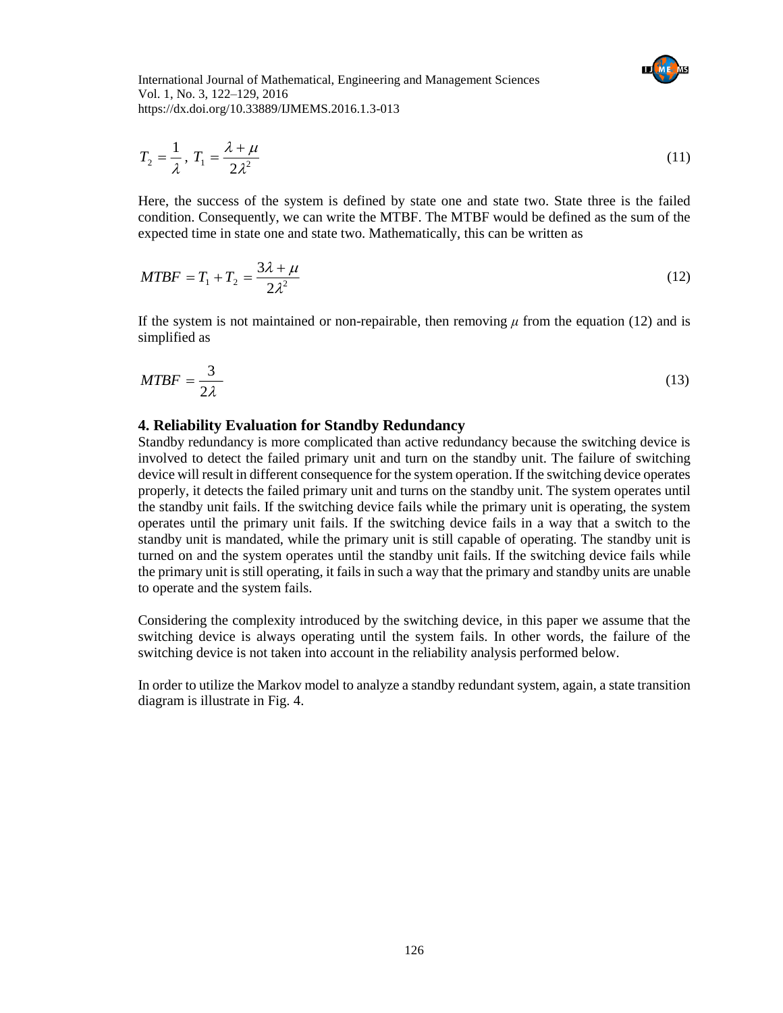$$
T_2 = \frac{1}{\lambda}, T_1 = \frac{\lambda + \mu}{2\lambda^2} \tag{11}
$$

Here, the success of the system is defined by state one and state two. State three is the failed condition. Consequently, we can write the MTBF. The MTBF would be defined as the sum of the expected time in state one and state two. Mathematically, this can be written as

$$
MTBF = T_1 + T_2 = \frac{3\lambda + \mu}{2\lambda^2} \tag{12}
$$

If the system is not maintained or non-repairable, then removing  $\mu$  from the equation (12) and is simplified as

$$
MTBF = \frac{3}{2\lambda} \tag{13}
$$

#### **4. Reliability Evaluation for Standby Redundancy**

Standby redundancy is more complicated than active redundancy because the switching device is involved to detect the failed primary unit and turn on the standby unit. The failure of switching device will result in different consequence for the system operation. If the switching device operates properly, it detects the failed primary unit and turns on the standby unit. The system operates until the standby unit fails. If the switching device fails while the primary unit is operating, the system operates until the primary unit fails. If the switching device fails in a way that a switch to the standby unit is mandated, while the primary unit is still capable of operating. The standby unit is turned on and the system operates until the standby unit fails. If the switching device fails while the primary unit is still operating, it fails in such a way that the primary and standby units are unable to operate and the system fails.

Considering the complexity introduced by the switching device, in this paper we assume that the switching device is always operating until the system fails. In other words, the failure of the switching device is not taken into account in the reliability analysis performed below.

In order to utilize the Markov model to analyze a standby redundant system, again, a state transition diagram is illustrate in Fig. 4.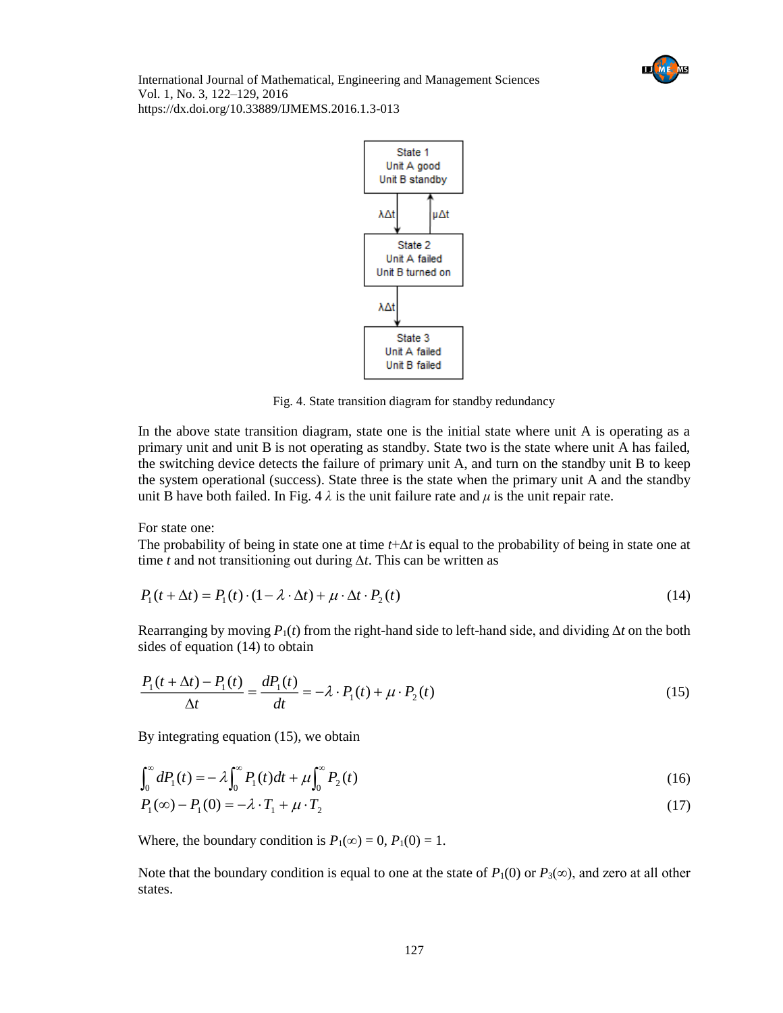



Fig. 4. State transition diagram for standby redundancy

In the above state transition diagram, state one is the initial state where unit A is operating as a primary unit and unit B is not operating as standby. State two is the state where unit A has failed, the switching device detects the failure of primary unit A, and turn on the standby unit B to keep the system operational (success). State three is the state when the primary unit A and the standby unit B have both failed. In Fig.  $4 \lambda$  is the unit failure rate and  $\mu$  is the unit repair rate.

For state one:

The probability of being in state one at time *t*+∆*t* is equal to the probability of being in state one at time *t* and not transitioning out during ∆*t*. This can be written as

$$
P_1(t + \Delta t) = P_1(t) \cdot (1 - \lambda \cdot \Delta t) + \mu \cdot \Delta t \cdot P_2(t)
$$
\n(14)

Rearranging by moving *P*1(*t*) from the right-hand side to left-hand side, and dividing ∆*t* on the both sides of equation (14) to obtain

$$
\frac{P_1(t + \Delta t) - P_1(t)}{\Delta t} = \frac{dP_1(t)}{dt} = -\lambda \cdot P_1(t) + \mu \cdot P_2(t)
$$
\n(15)

By integrating equation (15), we obtain

$$
\int_0^{\infty} dP_1(t) = -\lambda \int_0^{\infty} P_1(t)dt + \mu \int_0^{\infty} P_2(t)
$$
\n(16)

$$
P_1(\infty) - P_1(0) = -\lambda \cdot T_1 + \mu \cdot T_2 \tag{17}
$$

Where, the boundary condition is  $P_1(\infty) = 0$ ,  $P_1(0) = 1$ .

Note that the boundary condition is equal to one at the state of  $P_1(0)$  or  $P_3(\infty)$ , and zero at all other states.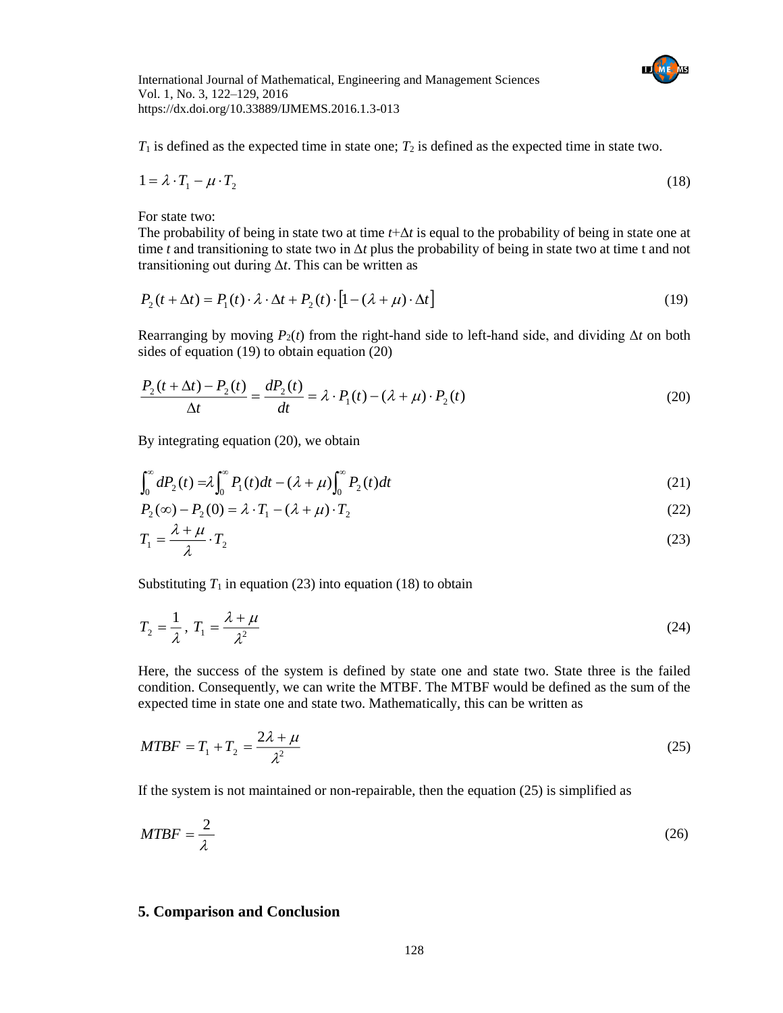

 $T_1$  is defined as the expected time in state one;  $T_2$  is defined as the expected time in state two.

$$
1 = \lambda \cdot T_1 - \mu \cdot T_2 \tag{18}
$$

For state two:

The probability of being in state two at time *t*+Δ*t* is equal to the probability of being in state one at time *t* and transitioning to state two in  $\Delta t$  plus the probability of being in state two at time t and not transitioning out during Δ*t*. This can be written as

$$
P_2(t + \Delta t) = P_1(t) \cdot \lambda \cdot \Delta t + P_2(t) \cdot [1 - (\lambda + \mu) \cdot \Delta t] \tag{19}
$$

Rearranging by moving  $P_2(t)$  from the right-hand side to left-hand side, and dividing  $\Delta t$  on both sides of equation (19) to obtain equation (20)

$$
\frac{P_2(t + \Delta t) - P_2(t)}{\Delta t} = \frac{dP_2(t)}{dt} = \lambda \cdot P_1(t) - (\lambda + \mu) \cdot P_2(t)
$$
\n(20)

By integrating equation (20), we obtain

$$
\int_0^\infty dP_2(t) = \lambda \int_0^\infty P_1(t)dt - (\lambda + \mu) \int_0^\infty P_2(t)dt
$$
\n(21)

$$
P_2(\infty) - P_2(0) = \lambda \cdot T_1 - (\lambda + \mu) \cdot T_2 \tag{22}
$$

$$
T_1 = \frac{\lambda + \mu}{\lambda} \cdot T_2 \tag{23}
$$

Substituting  $T_1$  in equation (23) into equation (18) to obtain

$$
T_2 = \frac{1}{\lambda}, T_1 = \frac{\lambda + \mu}{\lambda^2} \tag{24}
$$

Here, the success of the system is defined by state one and state two. State three is the failed condition. Consequently, we can write the MTBF. The MTBF would be defined as the sum of the expected time in state one and state two. Mathematically, this can be written as

$$
MTBF = T_1 + T_2 = \frac{2\lambda + \mu}{\lambda^2} \tag{25}
$$

If the system is not maintained or non-repairable, then the equation (25) is simplified as

$$
MTBF = \frac{2}{\lambda} \tag{26}
$$

#### **5. Comparison and Conclusion**